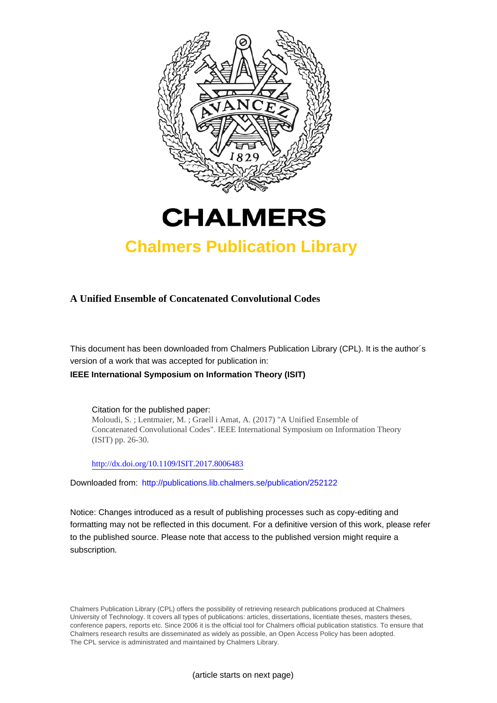



## **Chalmers Publication Library**

### **A Unified Ensemble of Concatenated Convolutional Codes**

This document has been downloaded from Chalmers Publication Library (CPL). It is the author´s version of a work that was accepted for publication in: **IEEE International Symposium on Information Theory (ISIT)**

Citation for the published paper: Moloudi, S. ; Lentmaier, M. ; Graell i Amat, A. (2017) "A Unified Ensemble of Concatenated Convolutional Codes". IEEE International Symposium on Information Theory (ISIT) pp. 26-30.

<http://dx.doi.org/10.1109/ISIT.2017.8006483>

Downloaded from: <http://publications.lib.chalmers.se/publication/252122>

Notice: Changes introduced as a result of publishing processes such as copy-editing and formatting may not be reflected in this document. For a definitive version of this work, please refer to the published source. Please note that access to the published version might require a subscription.

Chalmers Publication Library (CPL) offers the possibility of retrieving research publications produced at Chalmers University of Technology. It covers all types of publications: articles, dissertations, licentiate theses, masters theses, conference papers, reports etc. Since 2006 it is the official tool for Chalmers official publication statistics. To ensure that Chalmers research results are disseminated as widely as possible, an Open Access Policy has been adopted. The CPL service is administrated and maintained by Chalmers Library.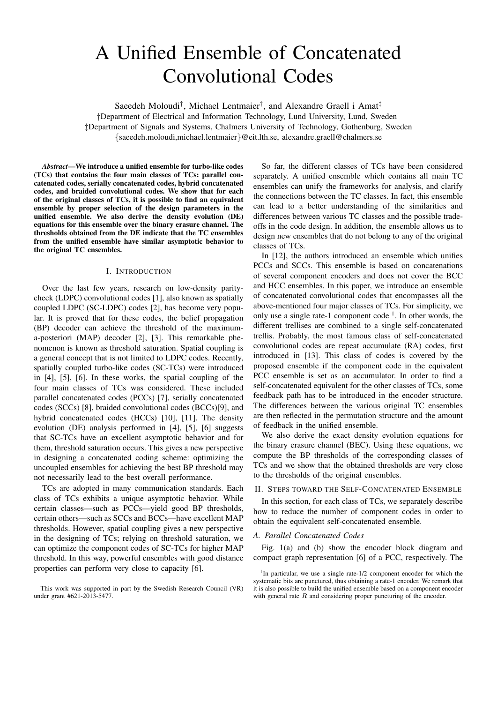# A Unified Ensemble of Concatenated Convolutional Codes

Saeedeh Moloudi<sup>†</sup>, Michael Lentmaier<sup>†</sup>, and Alexandre Graell i Amat<sup>‡</sup>

†Department of Electrical and Information Technology, Lund University, Lund, Sweden ‡Department of Signals and Systems, Chalmers University of Technology, Gothenburg, Sweden {saeedeh.moloudi,michael.lentmaier}@eit.lth.se, alexandre.graell@chalmers.se

*Abstract*—We introduce a unified ensemble for turbo-like codes (TCs) that contains the four main classes of TCs: parallel concatenated codes, serially concatenated codes, hybrid concatenated codes, and braided convolutional codes. We show that for each of the original classes of TCs, it is possible to find an equivalent ensemble by proper selection of the design parameters in the unified ensemble. We also derive the density evolution (DE) equations for this ensemble over the binary erasure channel. The thresholds obtained from the DE indicate that the TC ensembles from the unified ensemble have similar asymptotic behavior to the original TC ensembles.

#### I. INTRODUCTION

Over the last few years, research on low-density paritycheck (LDPC) convolutional codes [1], also known as spatially coupled LDPC (SC-LDPC) codes [2], has become very popular. It is proved that for these codes, the belief propagation (BP) decoder can achieve the threshold of the maximuma-posteriori (MAP) decoder [2], [3]. This remarkable phenomenon is known as threshold saturation. Spatial coupling is a general concept that is not limited to LDPC codes. Recently, spatially coupled turbo-like codes (SC-TCs) were introduced in [4], [5], [6]. In these works, the spatial coupling of the four main classes of TCs was considered. These included parallel concatenated codes (PCCs) [7], serially concatenated codes (SCCs) [8], braided convolutional codes (BCCs)[9], and hybrid concatenated codes (HCCs) [10], [11]. The density evolution (DE) analysis performed in [4], [5], [6] suggests that SC-TCs have an excellent asymptotic behavior and for them, threshold saturation occurs. This gives a new perspective in designing a concatenated coding scheme: optimizing the uncoupled ensembles for achieving the best BP threshold may not necessarily lead to the best overall performance.

TCs are adopted in many communication standards. Each class of TCs exhibits a unique asymptotic behavior. While certain classes—such as PCCs—yield good BP thresholds, certain others—such as SCCs and BCCs—have excellent MAP thresholds. However, spatial coupling gives a new perspective in the designing of TCs; relying on threshold saturation, we can optimize the component codes of SC-TCs for higher MAP threshold. In this way, powerful ensembles with good distance properties can perform very close to capacity [6].

So far, the different classes of TCs have been considered separately. A unified ensemble which contains all main TC ensembles can unify the frameworks for analysis, and clarify the connections between the TC classes. In fact, this ensemble can lead to a better understanding of the similarities and differences between various TC classes and the possible tradeoffs in the code design. In addition, the ensemble allows us to design new ensembles that do not belong to any of the original classes of TCs.

In [12], the authors introduced an ensemble which unifies PCCs and SCCs. This ensemble is based on concatenations of several component encoders and does not cover the BCC and HCC ensembles. In this paper, we introduce an ensemble of concatenated convolutional codes that encompasses all the above-mentioned four major classes of TCs. For simplicity, we only use a single rate-1 component code  $<sup>1</sup>$ . In other words, the</sup> different trellises are combined to a single self-concatenated trellis. Probably, the most famous class of self-concatenated convolutional codes are repeat accumulate (RA) codes, first introduced in [13]. This class of codes is covered by the proposed ensemble if the component code in the equivalent PCC ensemble is set as an accumulator. In order to find a self-concatenated equivalent for the other classes of TCs, some feedback path has to be introduced in the encoder structure. The differences between the various original TC ensembles are then reflected in the permutation structure and the amount of feedback in the unified ensemble.

We also derive the exact density evolution equations for the binary erasure channel (BEC). Using these equations, we compute the BP thresholds of the corresponding classes of TCs and we show that the obtained thresholds are very close to the thresholds of the original ensembles.

#### II. STEPS TOWARD THE SELF-CONCATENATED ENSEMBLE

In this section, for each class of TCs, we separately describe how to reduce the number of component codes in order to obtain the equivalent self-concatenated ensemble.

#### *A. Parallel Concatenated Codes*

Fig. 1(a) and (b) show the encoder block diagram and compact graph representation [6] of a PCC, respectively. The

This work was supported in part by the Swedish Research Council (VR) under grant #621-2013-5477.

<sup>&</sup>lt;sup>1</sup>In particular, we use a single rate-1/2 component encoder for which the systematic bits are punctured, thus obtaining a rate-1 encoder. We remark that it is also possible to build the unified ensemble based on a component encoder with general rate  $R$  and considering proper puncturing of the encoder.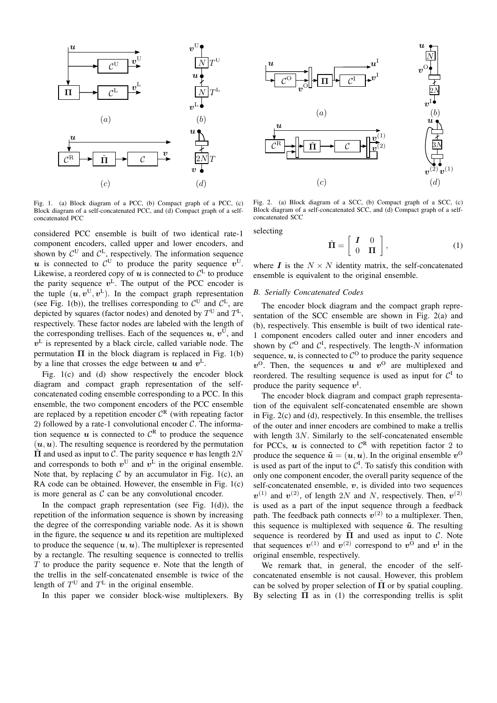

Fig. 1. (a) Block diagram of a PCC, (b) Compact graph of a PCC, (c) Block diagram of a self-concatenated PCC, and (d) Compact graph of a selfconcatenated PCC

considered PCC ensemble is built of two identical rate-1 component encoders, called upper and lower encoders, and shown by  $\mathcal{C}^{\text{U}}$  and  $\mathcal{C}^{\text{L}}$ , respectively. The information sequence u is connected to  $\mathcal{C}^{\mathsf{U}}$  to produce the parity sequence  $v^{\mathsf{U}}$ . Likewise, a reordered copy of  $u$  is connected to  $\mathcal{C}^{\mathsf{L}}$  to produce the parity sequence  $v^L$ . The output of the PCC encoder is the tuple  $(\boldsymbol{u}, \boldsymbol{v}^{\text{U}}, \boldsymbol{v}^{\text{L}})$ . In the compact graph representation (see Fig. 1(b)), the trellises corresponding to  $C^{\text{U}}$  and  $C^{\text{L}}$ , are depicted by squares (factor nodes) and denoted by  $T^{\text{U}}$  and  $T^{\text{L}}$ , respectively. These factor nodes are labeled with the length of the corresponding trellises. Each of the sequences  $u, v^{\text{U}}$ , and  $v<sup>L</sup>$  is represented by a black circle, called variable node. The permutation  $\Pi$  in the block diagram is replaced in Fig. 1(b) by a line that crosses the edge between  $u$  and  $v^L$ .

Fig. 1(c) and (d) show respectively the encoder block diagram and compact graph representation of the selfconcatenated coding ensemble corresponding to a PCC. In this ensemble, the two component encoders of the PCC ensemble are replaced by a repetition encoder  $C<sup>R</sup>$  (with repeating factor 2) followed by a rate-1 convolutional encoder  $C$ . The information sequence  $u$  is connected to  $\mathcal{C}^R$  to produce the sequence  $(u, u)$ . The resulting sequence is reordered by the permutation  $\tilde{\Pi}$  and used as input to C. The parity sequence v has length  $2N$ and corresponds to both  $v^{\text{U}}$  and  $v^{\text{L}}$  in the original ensemble. Note that, by replacing  $C$  by an accumulator in Fig. 1(c), an RA code can be obtained. However, the ensemble in Fig. 1(c) is more general as  $\mathcal C$  can be any convolutional encoder.

In the compact graph representation (see Fig.  $1(d)$ ), the repetition of the information sequence is shown by increasing the degree of the corresponding variable node. As it is shown in the figure, the sequence  $u$  and its repetition are multiplexed to produce the sequence  $(u, u)$ . The multiplexer is represented by a rectangle. The resulting sequence is connected to trellis  $T$  to produce the parity sequence  $v$ . Note that the length of the trellis in the self-concatenated ensemble is twice of the length of  $T^{\text{U}}$  and  $T^{\text{L}}$  in the original ensemble.

In this paper we consider block-wise multiplexers. By



Fig. 2. (a) Block diagram of a SCC, (b) Compact graph of a SCC, (c) Block diagram of a self-concatenated SCC, and (d) Compact graph of a selfconcatenated SCC

selecting

$$
\tilde{\Pi} = \left[ \begin{array}{cc} I & 0 \\ 0 & \Pi \end{array} \right],\tag{1}
$$

where  $\boldsymbol{I}$  is the  $N \times N$  identity matrix, the self-concatenated ensemble is equivalent to the original ensemble.

#### *B. Serially Concatenated Codes*

The encoder block diagram and the compact graph representation of the SCC ensemble are shown in Fig. 2(a) and (b), respectively. This ensemble is built of two identical rate-1 component encoders called outer and inner encoders and shown by  $\mathcal{C}^{\mathbb{O}}$  and  $\mathcal{C}^{\mathbb{I}}$ , respectively. The length-N information sequence,  $\boldsymbol{u}$ , is connected to  $\mathcal{C}^{\mathcal{O}}$  to produce the parity sequence  $v^0$ . Then, the sequences u and  $v^0$  are multiplexed and reordered. The resulting sequence is used as input for  $C^I$  to produce the parity sequence  $v^I$ .

The encoder block diagram and compact graph representation of the equivalent self-concatenated ensemble are shown in Fig. 2(c) and (d), respectively. In this ensemble, the trellises of the outer and inner encoders are combined to make a trellis with length  $3N$ . Similarly to the self-concatenated ensemble for PCCs,  $\boldsymbol{u}$  is connected to  $\mathcal{C}^R$  with repetition factor 2 to produce the sequence  $\tilde{u} = (u, u)$ . In the original ensemble  $v^0$ is used as part of the input to  $C<sup>I</sup>$ . To satisfy this condition with only one component encoder, the overall parity sequence of the self-concatenated ensemble,  $v$ , is divided into two sequences  $v^{(1)}$  and  $v^{(2)}$ , of length 2N and N, respectively. Then,  $v^{(2)}$ is used as a part of the input sequence through a feedback path. The feedback path connects  $v^{(2)}$  to a multiplexer. Then, this sequence is multiplexed with sequence  $\tilde{u}$ . The resulting sequence is reordered by  $\tilde{\Pi}$  and used as input to C. Note that sequences  $v^{(1)}$  and  $v^{(2)}$  correspond to  $v^0$  and  $v^1$  in the original ensemble, respectively.

We remark that, in general, the encoder of the selfconcatenated ensemble is not causal. However, this problem can be solved by proper selection of  $\Pi$  or by spatial coupling. By selecting  $\Pi$  as in (1) the corresponding trellis is split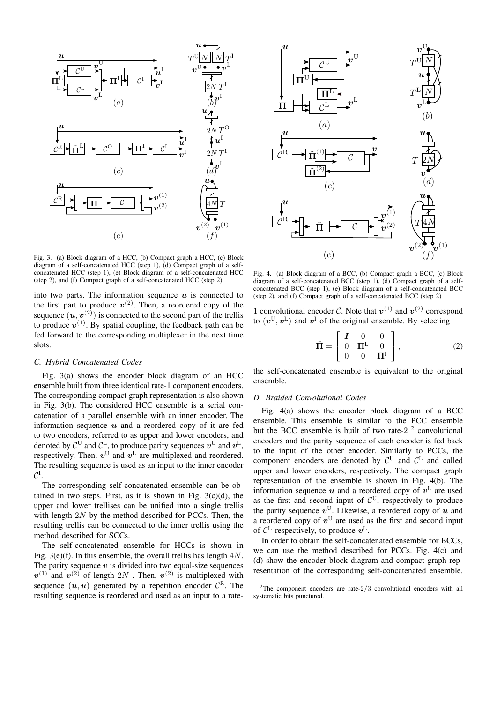

Fig. 3. (a) Block diagram of a HCC, (b) Compact graph a HCC, (c) Block diagram of a self-concatenated HCC (step 1), (d) Compact graph of a selfconcatenated HCC (step 1), (e) Block diagram of a self-concatenated HCC (step 2), and (f) Compact graph of a self-concatenated HCC (step 2)

into two parts. The information sequence  $u$  is connected to the first part to produce  $v^{(2)}$ . Then, a reordered copy of the sequence  $(u, v^{(2)})$  is connected to the second part of the trellis to produce  $v^{(1)}$ . By spatial coupling, the feedback path can be fed forward to the corresponding multiplexer in the next time slots.

#### *C. Hybrid Concatenated Codes*

Fig. 3(a) shows the encoder block diagram of an HCC ensemble built from three identical rate-1 component encoders. The corresponding compact graph representation is also shown in Fig. 3(b). The considered HCC ensemble is a serial concatenation of a parallel ensemble with an inner encoder. The information sequence  $u$  and a reordered copy of it are fed to two encoders, referred to as upper and lower encoders, and denoted by  $\mathcal{C}^{\mathsf{U}}$  and  $\mathcal{C}^{\mathsf{L}}$ , to produce parity sequences  $v^{\mathsf{U}}$  and  $v^{\mathsf{L}}$ , respectively. Then,  $v^{\text{U}}$  and  $v^{\text{L}}$  are multiplexed and reordered. The resulting sequence is used as an input to the inner encoder  $\mathcal{C}^{\mathrm{I}}$ .

The corresponding self-concatenated ensemble can be obtained in two steps. First, as it is shown in Fig.  $3(c)(d)$ , the upper and lower trellises can be unified into a single trellis with length  $2N$  by the method described for PCCs. Then, the resulting trellis can be connected to the inner trellis using the method described for SCCs.

The self-concatenated ensemble for HCCs is shown in Fig.  $3(e)(f)$ . In this ensemble, the overall trellis has length  $4N$ . The parity sequence  $v$  is divided into two equal-size sequences  $v^{(1)}$  and  $v^{(2)}$  of length  $2N$  . Then,  $v^{(2)}$  is multiplexed with sequence  $(\boldsymbol{u}, \boldsymbol{u})$  generated by a repetition encoder  $C^R$ . The resulting sequence is reordered and used as an input to a rate-



Fig. 4. (a) Block diagram of a BCC, (b) Compact graph a BCC, (c) Block diagram of a self-concatenated BCC (step 1), (d) Compact graph of a selfconcatenated BCC (step 1), (e) Block diagram of a self-concatenated BCC (step 2), and (f) Compact graph of a self-concatenated BCC (step 2)

1 convolutional encoder C. Note that  $v^{(1)}$  and  $v^{(2)}$  correspond to  $(v^{\text{U}}, v^{\text{L}})$  and  $v^{\text{I}}$  of the original ensemble. By selecting

$$
\tilde{\mathbf{\Pi}} = \begin{bmatrix} I & 0 & 0 \\ 0 & \mathbf{\Pi}^{L} & 0 \\ 0 & 0 & \mathbf{\Pi}^{I} \end{bmatrix},
$$
 (2)

the self-concatenated ensemble is equivalent to the original ensemble.

#### *D. Braided Convolutional Codes*

Fig. 4(a) shows the encoder block diagram of a BCC ensemble. This ensemble is similar to the PCC ensemble but the BCC ensemble is built of two rate-2 $2$  convolutional encoders and the parity sequence of each encoder is fed back to the input of the other encoder. Similarly to PCCs, the component encoders are denoted by  $C^U$  and  $C^L$  and called upper and lower encoders, respectively. The compact graph representation of the ensemble is shown in Fig. 4(b). The information sequence  $u$  and a reordered copy of  $v^L$  are used as the first and second input of  $\mathcal{C}^{\mathbf{U}}$ , respectively to produce the parity sequence  $v^{\text{U}}$ . Likewise, a reordered copy of u and a reordered copy of  $v^{\text{U}}$  are used as the first and second input of  $C^{\text{L}}$  respectively, to produce  $v^{\text{L}}$ .

In order to obtain the self-concatenated ensemble for BCCs, we can use the method described for PCCs. Fig. 4(c) and (d) show the encoder block diagram and compact graph representation of the corresponding self-concatenated ensemble.

<sup>2</sup>The component encoders are rate-2/3 convolutional encoders with all systematic bits punctured.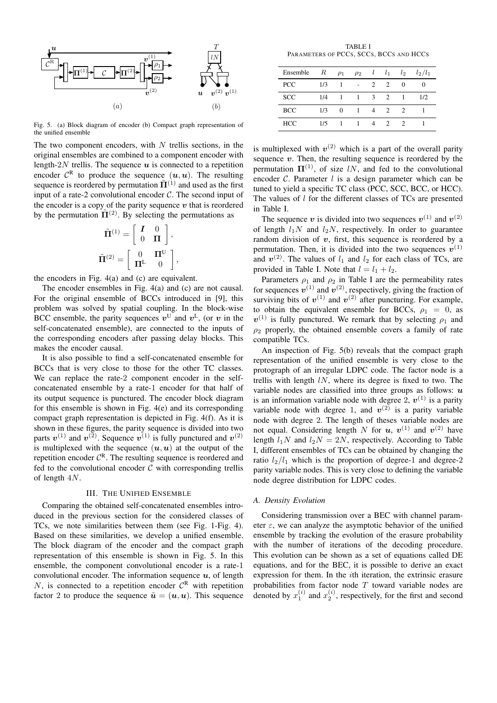

Fig. 5. (a) Block diagram of encoder (b) Compact graph representation of the unified ensemble

The two component encoders, with  $N$  trellis sections, in the original ensembles are combined to a component encoder with length-2N trellis. The sequence  $u$  is connected to a repetition encoder  $\mathcal{C}^R$  to produce the sequence  $(u, u)$ . The resulting sequence is reordered by permutation  $\tilde{\mathbf{\Pi}}^{(1)}$  and used as the first input of a rate-2 convolutional encoder  $C$ . The second input of the encoder is a copy of the parity sequence  $v$  that is reordered by the permutation  $\tilde{\mathbf{\Pi}}^{(2)}$ . By selecting the permutations as

$$
\tilde{\Pi}^{(1)} = \begin{bmatrix} I & 0 \\ 0 & \Pi \end{bmatrix},
$$

$$
\tilde{\Pi}^{(2)} = \begin{bmatrix} 0 & \Pi^{U} \\ \Pi^{L} & 0 \end{bmatrix},
$$

the encoders in Fig. 4(a) and (c) are equivalent.

The encoder ensembles in Fig. 4(a) and (c) are not causal. For the original ensemble of BCCs introduced in [9], this problem was solved by spatial coupling. In the block-wise BCC ensemble, the parity sequences  $v^{\text{U}}$  and  $v^{\text{L}}$ , (or v in the self-concatenated ensemble), are connected to the inputs of the corresponding encoders after passing delay blocks. This makes the encoder causal.

It is also possible to find a self-concatenated ensemble for BCCs that is very close to those for the other TC classes. We can replace the rate-2 component encoder in the selfconcatenated ensemble by a rate-1 encoder for that half of its output sequence is punctured. The encoder block diagram for this ensemble is shown in Fig. 4(e) and its corresponding compact graph representation is depicted in Fig. 4(f). As it is shown in these figures, the parity sequence is divided into two parts  $v^{(1)}$  and  $v^{(2)}$ . Sequence  $v^{(1)}$  is fully punctured and  $v^{(2)}$ is multiplexed with the sequence  $(u, u)$  at the output of the repetition encoder  $C^{R}$ . The resulting sequence is reordered and fed to the convolutional encoder  $\mathcal C$  with corresponding trellis of length 4N.

#### III. THE UNIFIED ENSEMBLE

Comparing the obtained self-concatenated ensembles introduced in the previous section for the considered classes of TCs, we note similarities between them (see Fig. 1-Fig. 4). Based on these similarities, we develop a unified ensemble. The block diagram of the encoder and the compact graph representation of this ensemble is shown in Fig. 5. In this ensemble, the component convolutional encoder is a rate-1 convolutional encoder. The information sequence  $u$ , of length N, is connected to a repetition encoder  $C<sup>R</sup>$  with repetition factor 2 to produce the sequence  $\tilde{u} = (u, u)$ . This sequence

TABLE I PARAMETERS OF PCCS, SCCS, BCCS AND HCCS

| Ensemble   | $\,$ $R$ | $\rho_1$     | $\rho_2$ | l              | $l_1$                       | $l_2$         | $l_2/l_1$ |
|------------|----------|--------------|----------|----------------|-----------------------------|---------------|-----------|
| <b>PCC</b> | 1/3      |              |          | $\mathfrak{D}$ | 2                           | $\Omega$      | 0         |
| <b>SCC</b> | 1/4      |              | 1        | 3              | 2                           | 1             | 1/2       |
| <b>BCC</b> | 1/3      | $\Omega$     |          | $\overline{4}$ | 2                           | $\mathcal{L}$ |           |
| <b>HCC</b> | 1/5      | $\mathbf{1}$ | 1        | 4              | $\mathcal{D}_{\mathcal{L}}$ | $\mathcal{D}$ |           |

is multiplexed with  $v^{(2)}$  which is a part of the overall parity sequence  $v$ . Then, the resulting sequence is reordered by the permutation  $\Pi^{(1)}$ , of size lN, and fed to the convolutional encoder  $C$ . Parameter  $l$  is a design parameter which can be tuned to yield a specific TC class (PCC, SCC, BCC, or HCC). The values of *l* for the different classes of TCs are presented in Table I.

The sequence v is divided into two sequences  $v^{(1)}$  and  $v^{(2)}$ of length  $l_1N$  and  $l_2N$ , respectively. In order to guarantee random division of  $v$ , first, this sequence is reordered by a permutation. Then, it is divided into the two sequences  $v^{(1)}$ and  $v^{(2)}$ . The values of  $l_1$  and  $l_2$  for each class of TCs, are provided in Table I. Note that  $l = l_1 + l_2$ .

Parameters  $\rho_1$  and  $\rho_2$  in Table I are the permeability rates for sequences  $v^{(1)}$  and  $v^{(2)}$ , respectively, giving the fraction of surviving bits of  $v^{(1)}$  and  $v^{(2)}$  after puncturing. For example, to obtain the equivalent ensemble for BCCs,  $\rho_1 = 0$ , as  $v^{(1)}$  is fully punctured. We remark that by selecting  $\rho_1$  and  $\rho_2$  properly, the obtained ensemble covers a family of rate compatible TCs.

An inspection of Fig. 5(b) reveals that the compact graph representation of the unified ensemble is very close to the protograph of an irregular LDPC code. The factor node is a trellis with length  $lN$ , where its degree is fixed to two. The variable nodes are classified into three groups as follows:  $u$ is an information variable node with degree 2,  $v^{(1)}$  is a parity variable node with degree 1, and  $v^{(2)}$  is a parity variable node with degree 2. The length of theses variable nodes are not equal. Considering length N for  $u, v^{(1)}$  and  $v^{(2)}$  have length  $l_1N$  and  $l_2N = 2N$ , respectively. According to Table I, different ensembles of TCs can be obtained by changing the ratio  $l_2/l_1$  which is the proportion of degree-1 and degree-2 parity variable nodes. This is very close to defining the variable node degree distribution for LDPC codes.

#### *A. Density Evolution*

Considering transmission over a BEC with channel parameter  $\varepsilon$ , we can analyze the asymptotic behavior of the unified ensemble by tracking the evolution of the erasure probability with the number of iterations of the decoding procedure. This evolution can be shown as a set of equations called DE equations, and for the BEC, it is possible to derive an exact expression for them. In the ith iteration, the extrinsic erasure probabilities from factor node  $T$  toward variable nodes are denoted by  $x_1^{(i)}$  and  $x_2^{(i)}$ , respectively, for the first and second